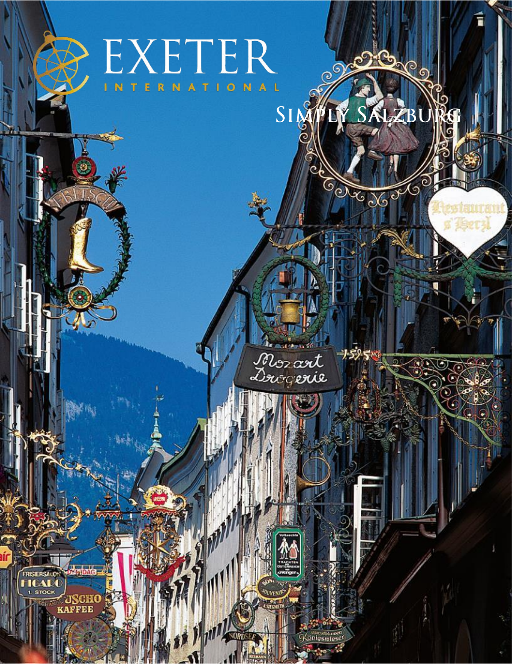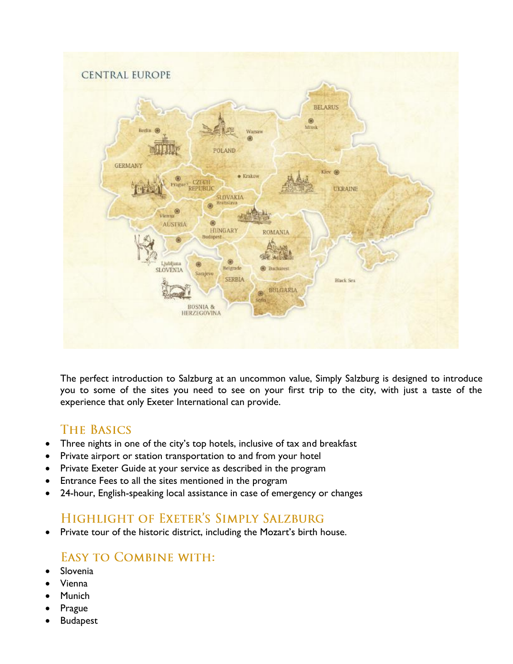

The perfect introduction to Salzburg at an uncommon value, Simply Salzburg is designed to introduce you to some of the sites you need to see on your first trip to the city, with just a taste of the experience that only Exeter International can provide.

# **THE BASICS**

- Three nights in one of the city's top hotels, inclusive of tax and breakfast
- Private airport or station transportation to and from your hotel
- Private Exeter Guide at your service as described in the program
- Entrance Fees to all the sites mentioned in the program
- 24-hour, English-speaking local assistance in case of emergency or changes

# **HIGHLIGHT OF EXETER'S SIMPLY SALZBURG**

• Private tour of the historic district, including the Mozart's birth house.

# **EASY TO COMBINE WITH:**

- **Slovenia**
- Vienna
- **Munich**
- **Prague**
- **Budapest**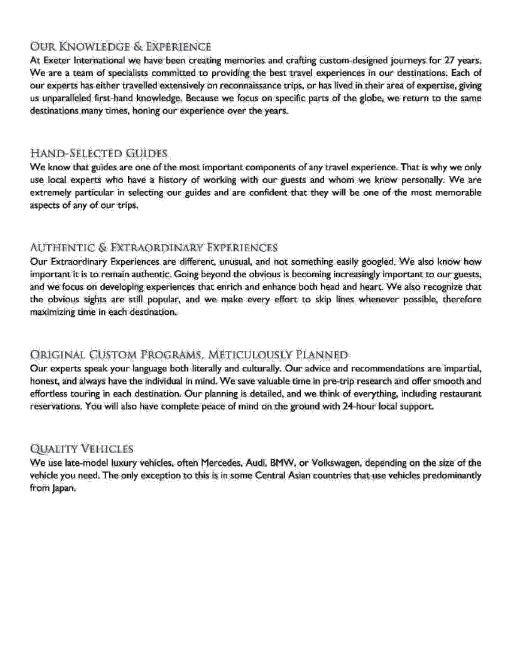# OUR KNOWLEDGE & EXPERIENCE

At Exeter International we have been creating memories and crafting custom-designed journeys for 27 years. We are a team of specialists committed to providing the best travel experiences in our destinations. Each of our experts has either travelled extensively on reconnaissance trips, or has lived in their area of expertise, giving us unparalleled first-hand knowledge. Because we focus on specific parts of the globe, we return to the same destinations many times, honing our experience over the years.

### Hand-Selected Guides

We know that guides are one of the most important components of any travel experience. That is why we only use local experts who have a history of working with our guests and whom we know personally. We are extremely particular in selecting our guides and are confident that they will be one of the most memorable aspects of any of our trips.

## Authentic & Extraordinary Experiences

Our Extraordinary Experiences are different, unusual, and not something easily googled. We also know how important it is to remain authentic. Going beyond the obvious is becoming increasingly important to our guests, and we focus on developing experiences that enrich and enhance both head and heart. We also recognize that the obvious sights are still popular, and we make every effort to skip lines whenever possible, therefore maximizing time in each destination.

## Original Custom Programs, Meticulously Planned

Our experts speak your language both literally and culturally. Our advice and recommendations are impartial, honest, and always have the individual in mind. We save valuable time in pre-trip research and offer smooth and effortless touring in each destination. Our planning is detailed, and we think of everything, including restaurant reservations. You will also have complete peace of mind on the ground with 24-hour local support.

#### **QUALITY VEHICLES**

We use late-model luxury vehicles, often Mercedes, Audi, BMW, or Volkswagen, depending on the size of the vehicle you need. The only exception to this is in some Central Asian countries that use vehicles predominantly from Japan.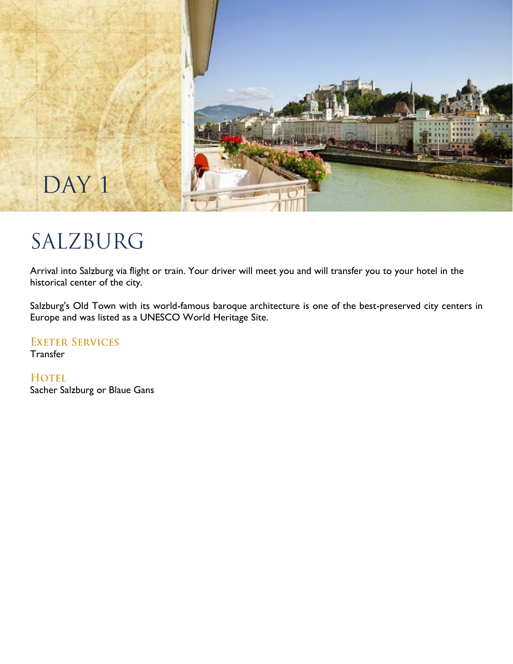

# SALZBURG

Arrival into Salzburg via flight or train. Your driver will meet you and will transfer you to your hotel in the historical center of the city.

Salzburg's Old Town with its world-famous baroque architecture is one of the best-preserved city centers in Europe and was listed as a UNESCO World Heritage Site.

**EXETER SERVICES** 

**Transfer** 

**HOTEL** 

Sacher Salzburg or Blaue Gans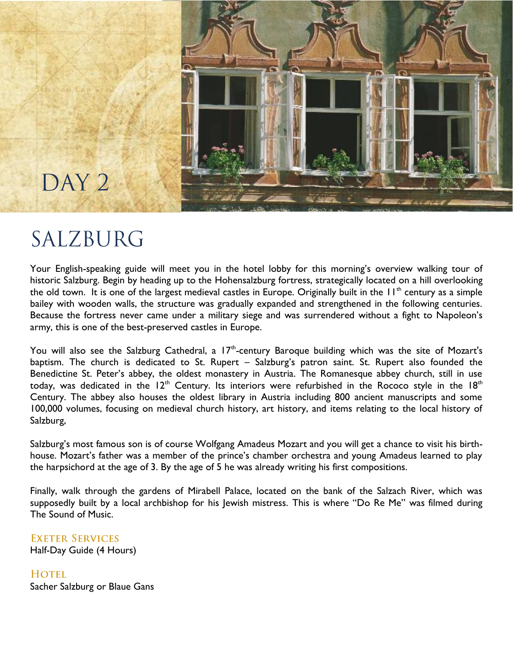

# SALZBURG

DAY<sub>2</sub>

Your English-speaking guide will meet you in the hotel lobby for this morning's overview walking tour of historic Salzburg. Begin by heading up to the Hohensalzburg fortress, strategically located on a hill overlooking the old town. It is one of the largest medieval castles in Europe. Originally built in the 11<sup>th</sup> century as a simple bailey with wooden walls, the structure was gradually expanded and strengthened in the following centuries. Because the fortress never came under a military siege and was surrendered without a fight to Napoleon's army, this is one of the best-preserved castles in Europe.

You will also see the Salzburg Cathedral, a  $17<sup>th</sup>$ -century Baroque building which was the site of Mozart's baptism. The church is dedicated to St. Rupert – Salzburg's patron saint. St. Rupert also founded the Benedictine St. Peter's abbey, the oldest monastery in Austria. The Romanesque abbey church, still in use today, was dedicated in the  $12<sup>th</sup>$  Century. Its interiors were refurbished in the Rococo style in the  $18<sup>th</sup>$ Century. The abbey also houses the oldest library in Austria including 800 ancient manuscripts and some 100,000 volumes, focusing on medieval church history, art history, and items relating to the local history of Salzburg,

Salzburg's most famous son is of course Wolfgang Amadeus Mozart and you will get a chance to visit his birthhouse. Mozart's father was a member of the prince's chamber orchestra and young Amadeus learned to play the harpsichord at the age of 3. By the age of 5 he was already writing his first compositions.

Finally, walk through the gardens of Mirabell Palace, located on the bank of the Salzach River, which was supposedly built by a local archbishop for his Jewish mistress. This is where "Do Re Me" was filmed during The Sound of Music.

**EXETER SERVICES** Half-Day Guide (4 Hours)

HOTEL. Sacher Salzburg or Blaue Gans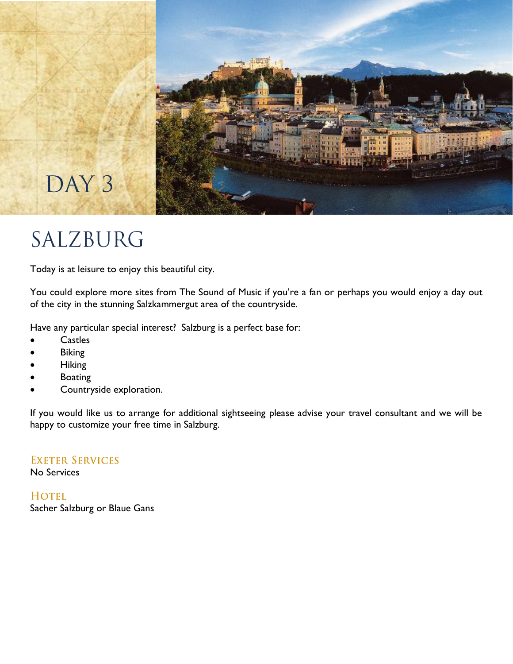

# SALZBURG

Today is at leisure to enjoy this beautiful city.

You could explore more sites from The Sound of Music if you're a fan or perhaps you would enjoy a day out of the city in the stunning Salzkammergut area of the countryside.

Have any particular special interest? Salzburg is a perfect base for:

- **Castles**
- **Biking**
- Hiking
- **Boating**
- Countryside exploration.

If you would like us to arrange for additional sightseeing please advise your travel consultant and we will be happy to customize your free time in Salzburg.

**EXETER SERVICES** No Services

HOTEL. Sacher Salzburg or Blaue Gans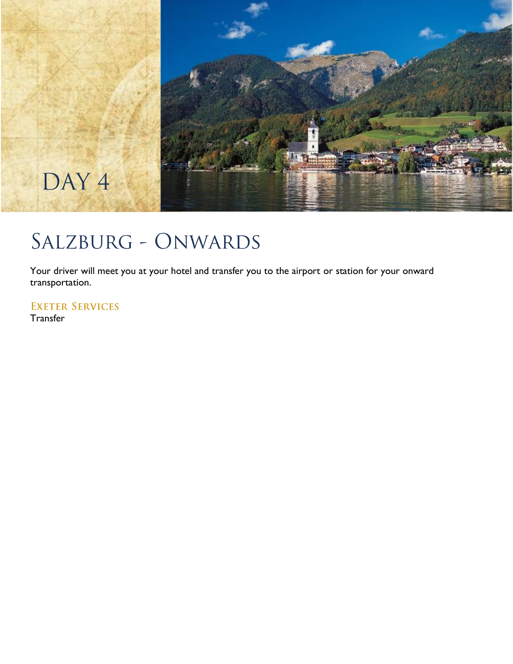

# SALZBURG - ONWARDS

Your driver will meet you at your hotel and transfer you to the airport or station for your onward transportation.

**EXETER SERVICES** 

**Transfer**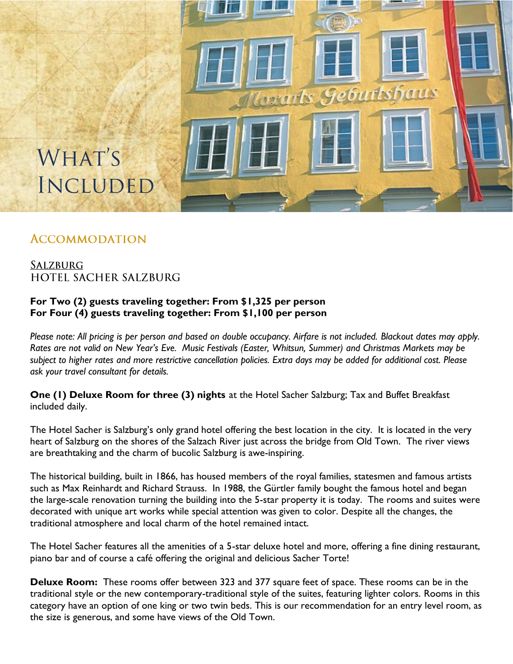

# **ACCOMMODATION**

# **SALZBURG HOTEL SACHER SALZBURG**

#### **For Two (2) guests traveling together: From \$1,325 per person For Four (4) guests traveling together: From \$1,100 per person**

*Please note: All pricing is per person and based on double occupancy. Airfare is not included. Blackout dates may apply. Rates are not valid on New Year's Eve. Music Festivals (Easter, Whitsun, Summer) and Christmas Markets may be subject to higher rates and more restrictive cancellation policies. Extra days may be added for additional cost. Please ask your travel consultant for details.*

**One (1) Deluxe Room for three (3) nights** at the Hotel Sacher Salzburg; Tax and Buffet Breakfast included daily.

The Hotel Sacher is Salzburg's only grand hotel offering the best location in the city. It is located in the very heart of Salzburg on the shores of the Salzach River just across the bridge from Old Town. The river views are breathtaking and the charm of bucolic Salzburg is awe-inspiring.

The historical building, built in 1866, has housed members of the royal families, statesmen and famous artists such as Max Reinhardt and Richard Strauss. In 1988, the Gürtler family bought the famous hotel and began the large-scale renovation turning the building into the 5-star property it is today. The rooms and suites were decorated with unique art works while special attention was given to color. Despite all the changes, the traditional atmosphere and local charm of the hotel remained intact.

The Hotel Sacher features all the amenities of a 5-star deluxe hotel and more, offering a fine dining restaurant, piano bar and of course a café offering the original and delicious Sacher Torte!

**Deluxe Room:** These rooms offer between 323 and 377 square feet of space. These rooms can be in the traditional style or the new contemporary-traditional style of the suites, featuring lighter colors. Rooms in this category have an option of one king or two twin beds. This is our recommendation for an entry level room, as the size is generous, and some have views of the Old Town.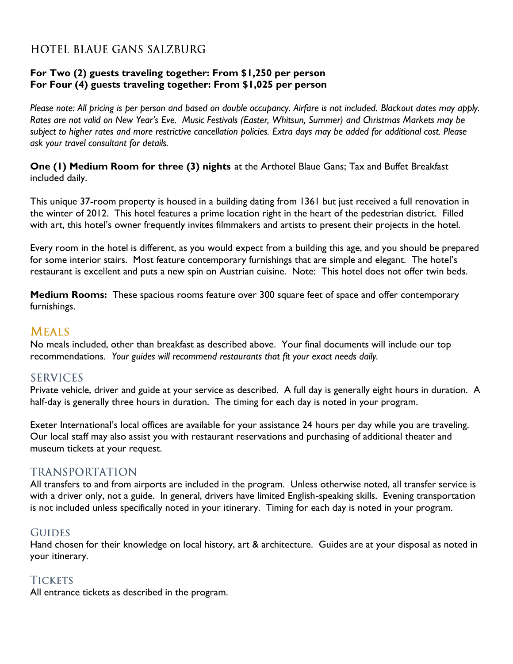# **HOTEL BLAUE GANS SALZBURG**

#### **For Two (2) guests traveling together: From \$1,250 per person For Four (4) guests traveling together: From \$1,025 per person**

*Please note: All pricing is per person and based on double occupancy. Airfare is not included. Blackout dates may apply. Rates are not valid on New Year's Eve. Music Festivals (Easter, Whitsun, Summer) and Christmas Markets may be subject to higher rates and more restrictive cancellation policies. Extra days may be added for additional cost. Please ask your travel consultant for details.*

**One (1) Medium Room for three (3) nights** at the Arthotel Blaue Gans; Tax and Buffet Breakfast included daily.

This unique 37-room property is housed in a building dating from 1361 but just received a full renovation in the winter of 2012. This hotel features a prime location right in the heart of the pedestrian district. Filled with art, this hotel's owner frequently invites filmmakers and artists to present their projects in the hotel.

Every room in the hotel is different, as you would expect from a building this age, and you should be prepared for some interior stairs. Most feature contemporary furnishings that are simple and elegant. The hotel's restaurant is excellent and puts a new spin on Austrian cuisine. Note: This hotel does not offer twin beds.

**Medium Rooms:** These spacious rooms feature over 300 square feet of space and offer contemporary furnishings.

#### **MEALS**

No meals included, other than breakfast as described above. Your final documents will include our top recommendations. *Your guides will recommend restaurants that fit your exact needs daily.*

#### **SERVICES**

Private vehicle, driver and guide at your service as described. A full day is generally eight hours in duration. A half-day is generally three hours in duration. The timing for each day is noted in your program.

Exeter International's local offices are available for your assistance 24 hours per day while you are traveling. Our local staff may also assist you with restaurant reservations and purchasing of additional theater and museum tickets at your request.

#### **TRANSPORTATION**

All transfers to and from airports are included in the program. Unless otherwise noted, all transfer service is with a driver only, not a guide. In general, drivers have limited English-speaking skills. Evening transportation is not included unless specifically noted in your itinerary. Timing for each day is noted in your program.

#### **GUIDES**

Hand chosen for their knowledge on local history, art & architecture. Guides are at your disposal as noted in your itinerary.

#### **TICKETS**

All entrance tickets as described in the program.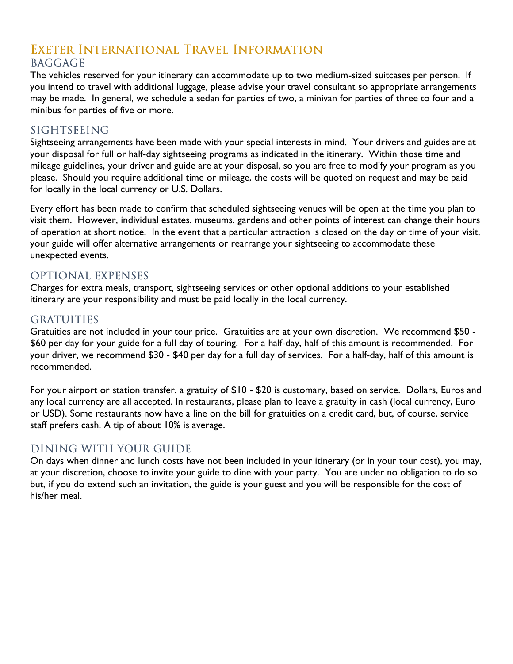# EXETER INTERNATIONAL TRAVEL INFORMATION **BAGGAGE**

The vehicles reserved for your itinerary can accommodate up to two medium-sized suitcases per person. If you intend to travel with additional luggage, please advise your travel consultant so appropriate arrangements may be made. In general, we schedule a sedan for parties of two, a minivan for parties of three to four and a minibus for parties of five or more.

## **SIGHTSEEING**

Sightseeing arrangements have been made with your special interests in mind. Your drivers and guides are at your disposal for full or half-day sightseeing programs as indicated in the itinerary. Within those time and mileage guidelines, your driver and guide are at your disposal, so you are free to modify your program as you please. Should you require additional time or mileage, the costs will be quoted on request and may be paid for locally in the local currency or U.S. Dollars.

Every effort has been made to confirm that scheduled sightseeing venues will be open at the time you plan to visit them. However, individual estates, museums, gardens and other points of interest can change their hours of operation at short notice. In the event that a particular attraction is closed on the day or time of your visit, your guide will offer alternative arrangements or rearrange your sightseeing to accommodate these unexpected events.

## **OPTIONAL EXPENSES**

Charges for extra meals, transport, sightseeing services or other optional additions to your established itinerary are your responsibility and must be paid locally in the local currency.

## **GRATUITIES**

Gratuities are not included in your tour price. Gratuities are at your own discretion. We recommend \$50 - \$60 per day for your guide for a full day of touring. For a half-day, half of this amount is recommended. For your driver, we recommend \$30 - \$40 per day for a full day of services. For a half-day, half of this amount is recommended.

For your airport or station transfer, a gratuity of \$10 - \$20 is customary, based on service. Dollars, Euros and any local currency are all accepted. In restaurants, please plan to leave a gratuity in cash (local currency, Euro or USD). Some restaurants now have a line on the bill for gratuities on a credit card, but, of course, service staff prefers cash. A tip of about 10% is average.

# DINING WITH YOUR GUIDE

On days when dinner and lunch costs have not been included in your itinerary (or in your tour cost), you may, at your discretion, choose to invite your guide to dine with your party. You are under no obligation to do so but, if you do extend such an invitation, the guide is your guest and you will be responsible for the cost of his/her meal.